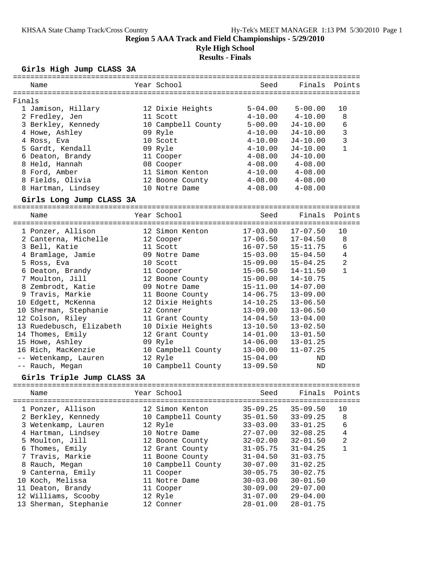## **Region 5 AAA Track and Field Championships - 5/29/2010 Ryle High School**

# **Results - Finals**

#### **Girls High Jump CLASS 3A**

| Name                     | Year School        | Seed        | Finals Points |              |
|--------------------------|--------------------|-------------|---------------|--------------|
| Finals                   |                    |             |               |              |
| 1 Jamison, Hillary       | 12 Dixie Heights   | $5 - 04.00$ | $5 - 00.00$   | 10           |
| 2 Fredley, Jen           | 11 Scott           | $4 - 10.00$ | $4 - 10.00$   | 8            |
| 3 Berkley, Kennedy       | 10 Campbell County | $5 - 00.00$ | $J4 - 10.00$  | 6            |
| 4 Howe, Ashley           | 09 Ryle            | $4 - 10.00$ | $J4 - 10.00$  | 3            |
| 4 Ross, Eva              | 10 Scott           | $4 - 10.00$ | $J4 - 10.00$  | 3            |
| 5 Gardt, Kendall         | 09 Ryle            | $4 - 10.00$ | $J4 - 10.00$  | $\mathbf{1}$ |
| 6 Deaton, Brandy         | 11 Cooper          | $4 - 08.00$ | $J4 - 10.00$  |              |
| 8 Held, Hannah           | 08 Cooper          | $4 - 08.00$ | $4 - 08.00$   |              |
| 8 Ford, Amber            | 11 Simon Kenton    | $4 - 10.00$ | $4 - 08.00$   |              |
| 8 Fields, Olivia         | 12 Boone County    | $4 - 08.00$ | $4 - 08.00$   |              |
| 8 Hartman, Lindsey       | 10 Notre Dame      | $4 - 08.00$ | $4 - 08.00$   |              |
| Girls Long Jump CLASS 3A |                    |             |               |              |

================================================================================

| Name<br>=========================== | Year School        | Seed         | Finals       | Points         |
|-------------------------------------|--------------------|--------------|--------------|----------------|
| 1 Ponzer, Allison                   | 12 Simon Kenton    | 17-03.00     | $17 - 07.50$ | 10             |
| 2 Canterna, Michelle                | 12 Cooper          | 17-06.50     | $17 - 04.50$ | 8              |
| 3 Bell, Katie                       | 11 Scott           | $16 - 07.50$ | 15-11.75     | 6              |
| 4 Bramlage, Jamie                   | 09 Notre Dame      | 15-03.00     | $15 - 04.50$ | $\overline{4}$ |
| 5 Ross, Eva                         | 10 Scott           | 15-09.00     | $15 - 04.25$ | $\overline{a}$ |
| 6 Deaton, Brandy                    | 11 Cooper          | 15-06.50     | 14-11.50     | 1              |
| 7 Moulton, Jill                     | 12 Boone County    | $15 - 00.00$ | $14 - 10.75$ |                |
| 8 Zembrodt, Katie                   | 09 Notre Dame      | 15-11.00     | $14 - 07.00$ |                |
| 9 Travis, Markie                    | 11 Boone County    | 14-06.75     | $13 - 09.00$ |                |
| 10 Edgett, McKenna                  | 12 Dixie Heights   | 14-10.25     | $13 - 06.50$ |                |
| 10 Sherman, Stephanie               | 12 Conner          | 13-09.00     | $13 - 06.50$ |                |
| 12 Colson, Riley                    | 11 Grant County    | $14 - 04.50$ | $13 - 04.00$ |                |
| 13 Ruedebusch, Elizabeth            | 10 Dixie Heights   | 13-10.50     | $13 - 02.50$ |                |
| 14 Thomes, Emily                    | 12 Grant County    | 14-01.00     | $13 - 01.50$ |                |
| 15 Howe, Ashley                     | 09 Ryle            | 14-06.00     | $13 - 01.25$ |                |
| 16 Rich, MacKenzie                  | 10 Campbell County | 13-00.00     | $11 - 07.25$ |                |
| -- Wetenkamp, Lauren                | 12 Ryle            | 15-04.00     | ND           |                |
| -- Rauch, Megan                     | 10 Campbell County | $13 - 09.50$ | ND           |                |

#### **Girls Triple Jump CLASS 3A**

| Name                  | Year School        | Seed         | Finals Points |                |
|-----------------------|--------------------|--------------|---------------|----------------|
| 1 Ponzer, Allison     | 12 Simon Kenton    | $35 - 09.25$ | $35 - 09.50$  | 10             |
| 2 Berkley, Kennedy    | 10 Campbell County | $35 - 01.50$ | $33 - 09.25$  | 8              |
| 3 Wetenkamp, Lauren   | 12 Ryle            | $33 - 03.00$ | $33 - 01.25$  | 6              |
| 4 Hartman, Lindsey    | 10 Notre Dame      | $27 - 07.00$ | $32 - 08.25$  | 4              |
| 5 Moulton, Jill       | 12 Boone County    | $32 - 02.00$ | $32 - 01.50$  | $\overline{2}$ |
| 6 Thomes, Emily       | 12 Grant County    | $31 - 05.75$ | $31 - 04.25$  |                |
| 7 Travis, Markie      | 11 Boone County    | $31 - 04.50$ | $31 - 03.75$  |                |
| 8 Rauch, Megan        | 10 Campbell County | $30 - 07.00$ | $31 - 02.25$  |                |
| 9 Canterna, Emily     | 11 Cooper          | $30 - 05.75$ | $30 - 02.75$  |                |
| 10 Koch, Melissa      | 11 Notre Dame      | $30 - 03.00$ | $30 - 01.50$  |                |
| 11 Deaton, Brandy     | 11 Cooper          | $30 - 09.00$ | $29 - 07.00$  |                |
| 12 Williams, Scooby   | 12 Ryle            | $31 - 07.00$ | $29 - 04.00$  |                |
| 13 Sherman, Stephanie | 12 Conner          | $28 - 01.00$ | $28 - 01.75$  |                |
|                       |                    |              |               |                |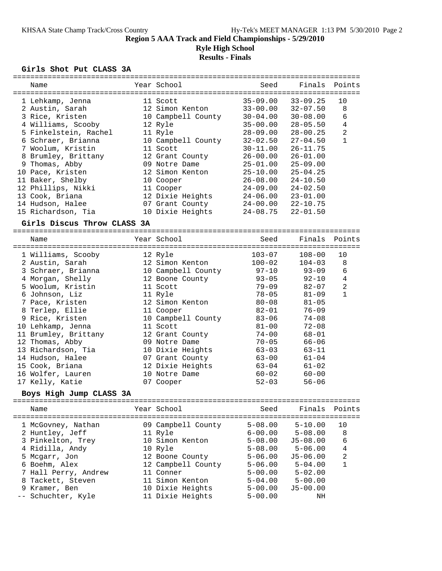# **Region 5 AAA Track and Field Championships - 5/29/2010**

#### **Ryle High School Results - Finals**

#### **Girls Shot Put CLASS 3A**

|   | ============                |  |                    | ==================== |              |                   |  |  |
|---|-----------------------------|--|--------------------|----------------------|--------------|-------------------|--|--|
|   | Name                        |  | Year School        | Seed                 | Finals       | Points            |  |  |
|   |                             |  |                    |                      |              |                   |  |  |
|   | 1 Lehkamp, Jenna            |  | 11 Scott           | $35 - 09.00$         | $33 - 09.25$ | 10                |  |  |
|   | 2 Austin, Sarah             |  | 12 Simon Kenton    | $33 - 00.00$         | $32 - 07.50$ | 8                 |  |  |
|   | 3 Rice, Kristen             |  | 10 Campbell County | $30 - 04.00$         | $30 - 08.00$ | 6                 |  |  |
|   | 4 Williams, Scooby          |  | 12 Ryle            | $35 - 00.00$         | $28 - 05.50$ | 4                 |  |  |
|   | 5 Finkelstein, Rachel       |  | 11 Ryle            | $28 - 09.00$         | $28 - 00.25$ | $\overline{a}$    |  |  |
|   | 6 Schraer, Brianna          |  | 10 Campbell County | $32 - 02.50$         | $27 - 04.50$ | 1                 |  |  |
|   | 7 Woolum, Kristin           |  | 11 Scott           | $30 - 11.00$         | $26 - 11.75$ |                   |  |  |
|   | 8 Brumley, Brittany         |  | 12 Grant County    | $26 - 00.00$         | $26 - 01.00$ |                   |  |  |
|   | 9 Thomas, Abby              |  | 09 Notre Dame      | $25 - 01.00$         | $25 - 09.00$ |                   |  |  |
|   | 10 Pace, Kristen            |  | 12 Simon Kenton    | $25 - 10.00$         | $25 - 04.25$ |                   |  |  |
|   | 11 Baker, Shelby            |  | 10 Cooper          | $26 - 08.00$         | $24 - 10.50$ |                   |  |  |
|   | 12 Phillips, Nikki          |  | 11 Cooper          | $24 - 09.00$         | $24 - 02.50$ |                   |  |  |
|   | 13 Cook, Briana             |  | 12 Dixie Heights   | $24 - 06.00$         | $23 - 01.00$ |                   |  |  |
|   | 14 Hudson, Halee            |  | 07 Grant County    | $24 - 00.00$         | $22 - 10.75$ |                   |  |  |
|   | 15 Richardson, Tia          |  | 10 Dixie Heights   | $24 - 08.75$         | $22 - 01.50$ |                   |  |  |
|   | Girls Discus Throw CLASS 3A |  |                    |                      |              |                   |  |  |
|   |                             |  |                    |                      |              |                   |  |  |
|   | Name                        |  | Year School        | Seed                 | Finals       | Points            |  |  |
|   |                             |  |                    |                      |              |                   |  |  |
|   | 1 Williams, Scooby          |  | 12 Ryle            | $103 - 07$           | $108 - 00$   | 10                |  |  |
|   | 2 Austin, Sarah             |  | 12 Simon Kenton    | $100 - 02$           | $104 - 03$   | 8                 |  |  |
|   | 3 Schraer, Brianna          |  | 10 Campbell County | $97 - 10$            | $93 - 09$    | 6                 |  |  |
|   | 4 Morgan, Shelly            |  | 12 Boone County    | $93 - 05$            | $92 - 10$    | $\overline{4}$    |  |  |
|   | 5 Woolum, Kristin           |  | 11 Scott           | $79 - 09$            | $82 - 07$    | $\overline{a}$    |  |  |
|   | 6 Johnson, Liz              |  | 11 Ryle            | $78 - 05$            | $81 - 09$    | $\mathbf{1}$      |  |  |
|   | 7 Pace, Kristen             |  | 12 Simon Kenton    | $80 - 08$            | $81 - 05$    |                   |  |  |
|   | 8 Terlep, Ellie             |  | 11 Cooper          | $82 - 01$            | $76 - 09$    |                   |  |  |
|   | 9 Rice, Kristen             |  | 10 Campbell County | $83 - 06$            | $74 - 08$    |                   |  |  |
|   | 10 Lehkamp, Jenna           |  | 11 Scott           | $81 - 00$            | $72 - 08$    |                   |  |  |
|   | 11 Brumley, Brittany        |  | 12 Grant County    | $74 - 00$            | $68 - 01$    |                   |  |  |
|   | 12 Thomas, Abby             |  | 09 Notre Dame      | $70 - 05$            | $66 - 06$    |                   |  |  |
|   | 13 Richardson, Tia          |  | 10 Dixie Heights   | $63 - 03$            | 63-11        |                   |  |  |
|   | 14 Hudson, Halee            |  | 07 Grant County    | $63 - 00$            | $61 - 04$    |                   |  |  |
|   | 15 Cook, Briana             |  | 12 Dixie Heights   | $63 - 04$            | $61 - 02$    |                   |  |  |
|   | 16 Wolfer, Lauren           |  | 10 Notre Dame      | $60 - 02$            | $60 - 00$    |                   |  |  |
|   | 17 Kelly, Katie             |  | 07 Cooper          | $52 - 03$            | $56 - 06$    |                   |  |  |
|   | Boys High Jump CLASS 3A     |  |                    |                      |              |                   |  |  |
|   | Name                        |  | Year School        | Seed                 | Finals       | Points            |  |  |
|   | 1 McGovney, Nathan          |  | 09 Campbell County | $5 - 08.00$          | $5 - 10.00$  | ===========<br>10 |  |  |
|   | 2 Huntley, Jeff             |  | 11 Ryle            | $6 - 00.00$          | $5 - 08.00$  | 8                 |  |  |
|   | 3 Pinkelton, Trey           |  | 10 Simon Kenton    | $5 - 08.00$          | $J5 - 08.00$ | 6                 |  |  |
|   | 4 Ridilla, Andy             |  | 10 Ryle            | $5 - 08.00$          | $5 - 06.00$  | 4                 |  |  |
|   | 5 Mcgarr, Jon               |  | 12 Boone County    | $5 - 06.00$          | $J5 - 06.00$ | 2                 |  |  |
|   | 6 Boehm, Alex               |  | 12 Campbell County | $5 - 06.00$          | $5 - 04.00$  | 1                 |  |  |
|   | 7 Hall Perry, Andrew        |  | 11 Conner          | $5 - 00.00$          | $5 - 02.00$  |                   |  |  |
| 8 | Tackett, Steven             |  | 11 Simon Kenton    | $5 - 04.00$          | $5 - 00.00$  |                   |  |  |
|   | 9 Kramer, Ben               |  | 10 Dixie Heights   | $5 - 00.00$          | $J5 - 00.00$ |                   |  |  |
|   | Schuchter, Kyle             |  | 11 Dixie Heights   | $5 - 00.00$          | ΝH           |                   |  |  |
|   |                             |  |                    |                      |              |                   |  |  |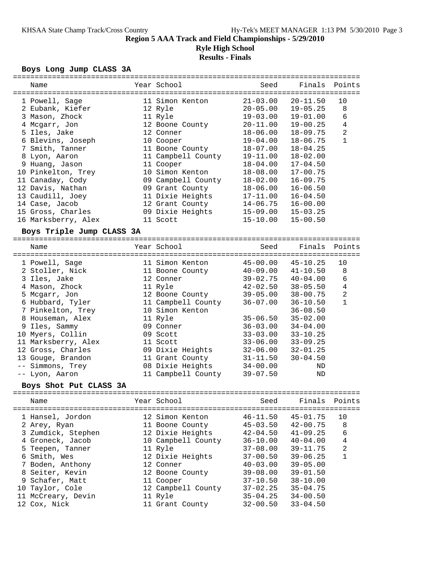#### **Region 5 AAA Track and Field Championships - 5/29/2010 Ryle High School Results - Finals**

# **Boys Long Jump CLASS 3A**

|       | Name                      | Year School        | Seed         | Finals       | Points         |
|-------|---------------------------|--------------------|--------------|--------------|----------------|
|       |                           |                    |              |              |                |
|       | 1 Powell, Sage            | 11 Simon Kenton    | $21 - 03.00$ | $20 - 11.50$ | 10             |
|       | 2 Eubank, Kiefer          | 12 Ryle            | $20 - 05.00$ | $19 - 05.25$ | 8              |
|       | 3 Mason, Zhock            | 11 Ryle            | $19 - 03.00$ | $19 - 01.00$ | 6              |
|       | 4 Mcgarr, Jon             | 12 Boone County    | $20 - 11.00$ | $19 - 00.25$ | $\overline{4}$ |
|       | 5 Iles, Jake              | 12 Conner          | $18 - 06.00$ | $18 - 09.75$ | 2              |
|       | 6 Blevins, Joseph         | 10 Cooper          | 19-04.00     | $18 - 06.75$ | $\mathbf{1}$   |
|       | 7 Smith, Tanner           | 11 Boone County    | $18 - 07.00$ | $18 - 04.25$ |                |
|       |                           |                    |              |              |                |
|       | 8 Lyon, Aaron             | 11 Campbell County | 19-11.00     | $18 - 02.00$ |                |
|       | 9 Huang, Jason            | 11 Cooper          | $18 - 04.00$ | $17 - 04.50$ |                |
|       | 10 Pinkelton, Trey        | 10 Simon Kenton    | $18 - 08.00$ | $17 - 00.75$ |                |
|       | 11 Canaday, Cody          | 09 Campbell County | $18 - 02.00$ | $16 - 09.75$ |                |
|       | 12 Davis, Nathan          | 09 Grant County    | $18 - 06.00$ | $16 - 06.50$ |                |
|       | 13 Caudill, Joey          | 11 Dixie Heights   | $17 - 11.00$ | $16 - 04.50$ |                |
|       | 14 Case, Jacob            | 12 Grant County    | 14-06.75     | $16 - 00.00$ |                |
|       | 15 Gross, Charles         | 09 Dixie Heights   | $15 - 09.00$ | $15 - 03.25$ |                |
|       | 16 Marksberry, Alex       | 11 Scott           | $15 - 10.00$ | $15 - 00.50$ |                |
|       | Boys Triple Jump CLASS 3A |                    |              |              |                |
|       |                           |                    |              |              |                |
|       | Name                      | Year School        | Seed         | Finals       | Points         |
|       |                           |                    |              |              |                |
|       | 1 Powell, Sage            | 11 Simon Kenton    | $45 - 00.00$ | $45 - 10.25$ | 10             |
|       | 2 Stoller, Nick           | 11 Boone County    | $40 - 09.00$ | $41 - 10.50$ | 8              |
|       | 3 Iles, Jake              | 12 Conner          | $39 - 02.75$ | $40 - 04.00$ | 6              |
|       | 4 Mason, Zhock            | 11 Ryle            | $42 - 02.50$ | $38 - 05.50$ | $\overline{4}$ |
|       | 5 Mcgarr, Jon             | 12 Boone County    | $39 - 05.00$ | $38 - 00.75$ | $\overline{2}$ |
|       | 6 Hubbard, Tyler          | 11 Campbell County | $36 - 07.00$ | $36 - 10.50$ | $\mathbf{1}$   |
|       | 7 Pinkelton, Trey         | 10 Simon Kenton    |              | $36 - 08.50$ |                |
|       | 8 Houseman, Alex          | 11 Ryle            | $35 - 06.50$ | $35 - 02.00$ |                |
|       |                           | 09 Conner          | $36 - 03.00$ | $34 - 04.00$ |                |
|       | 9 Iles, Sammy             |                    |              |              |                |
|       | 10 Myers, Collin          | 09 Scott           | $33 - 03.00$ | $33 - 10.25$ |                |
|       | 11 Marksberry, Alex       | 11 Scott           | $33 - 06.00$ | $33 - 09.25$ |                |
|       | 12 Gross, Charles         | 09 Dixie Heights   | 32-06.00     | $32 - 01.25$ |                |
|       | 13 Gouge, Brandon         | 11 Grant County    | $31 - 11.50$ | $30 - 04.50$ |                |
| $- -$ | Simmons, Trey             | 08 Dixie Heights   | $34 - 00.00$ | ΝD           |                |
|       | -- Lyon, Aaron            | 11 Campbell County | $39 - 07.50$ | ND           |                |
|       | Boys Shot Put CLASS 3A    |                    |              |              |                |
|       |                           |                    |              |              |                |
|       | Name                      | Year School        | Seed         | Finals       | Points         |
|       |                           | 12 Simon Kenton    | $46 - 11.50$ | $45 - 01.75$ | 10             |
|       | 1 Hansel, Jordon          |                    | $45 - 03.50$ | $42 - 00.75$ | 8              |
|       | 2 Arey, Ryan              | 11 Boone County    |              |              |                |
|       | 3 Zumdick, Stephen        | 12 Dixie Heights   | $42 - 04.50$ | $41 - 09.25$ | 6              |
|       | 4 Groneck, Jacob          | 10 Campbell County | $36 - 10.00$ | $40 - 04.00$ | 4              |
|       | 5 Teepen, Tanner          | 11 Ryle            | $37 - 08.00$ | $39 - 11.75$ | $\mathbf{2}$   |
|       | 6 Smith, Wes              | 12 Dixie Heights   | $37 - 00.50$ | $39 - 06.25$ | 1              |
|       | 7 Boden, Anthony          | 12 Conner          | $40 - 03.00$ | $39 - 05.00$ |                |
|       | 8 Seiter, Kevin           | 12 Boone County    | $39 - 08.00$ | $39 - 01.50$ |                |
|       | 9 Schafer, Matt           | 11 Cooper          | $37 - 10.50$ | $38 - 10.00$ |                |
|       | 10 Taylor, Cole           | 12 Campbell County | $37 - 02.25$ | $35 - 04.75$ |                |
|       | 11 McCreary, Devin        | 11 Ryle            | $35 - 04.25$ | $34 - 00.50$ |                |
|       | 12 Cox, Nick              | 11 Grant County    | $32 - 00.50$ | $33 - 04.50$ |                |
|       |                           |                    |              |              |                |